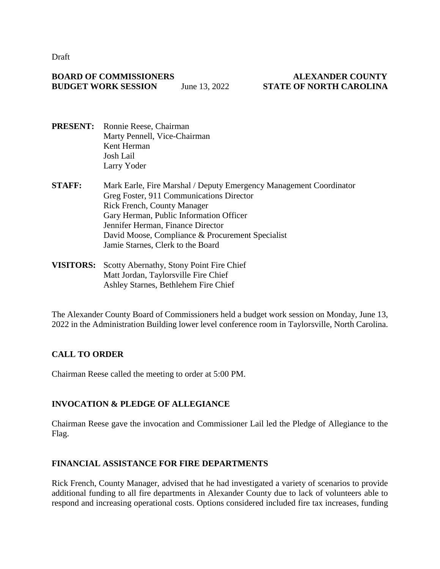Draft

#### **BOARD OF COMMISSIONERS ALEXANDER COUNTY BUDGET WORK SESSION** June 13, 2022 **STATE OF NORTH CAROLINA**

- **PRESENT:** Ronnie Reese, Chairman Marty Pennell, Vice-Chairman Kent Herman Josh Lail Larry Yoder
- **STAFF:** Mark Earle, Fire Marshal / Deputy Emergency Management Coordinator Greg Foster, 911 Communications Director Rick French, County Manager Gary Herman, Public Information Officer Jennifer Herman, Finance Director David Moose, Compliance & Procurement Specialist Jamie Starnes, Clerk to the Board
- **VISITORS:** Scotty Abernathy, Stony Point Fire Chief Matt Jordan, Taylorsville Fire Chief Ashley Starnes, Bethlehem Fire Chief

The Alexander County Board of Commissioners held a budget work session on Monday, June 13, 2022 in the Administration Building lower level conference room in Taylorsville, North Carolina.

# **CALL TO ORDER**

Chairman Reese called the meeting to order at 5:00 PM.

# **INVOCATION & PLEDGE OF ALLEGIANCE**

Chairman Reese gave the invocation and Commissioner Lail led the Pledge of Allegiance to the Flag.

# **FINANCIAL ASSISTANCE FOR FIRE DEPARTMENTS**

Rick French, County Manager, advised that he had investigated a variety of scenarios to provide additional funding to all fire departments in Alexander County due to lack of volunteers able to respond and increasing operational costs. Options considered included fire tax increases, funding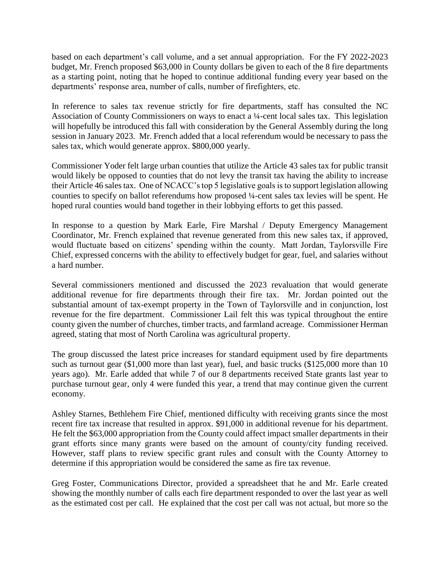based on each department's call volume, and a set annual appropriation. For the FY 2022-2023 budget, Mr. French proposed \$63,000 in County dollars be given to each of the 8 fire departments as a starting point, noting that he hoped to continue additional funding every year based on the departments' response area, number of calls, number of firefighters, etc.

In reference to sales tax revenue strictly for fire departments, staff has consulted the NC Association of County Commissioners on ways to enact a ¼-cent local sales tax. This legislation will hopefully be introduced this fall with consideration by the General Assembly during the long session in January 2023. Mr. French added that a local referendum would be necessary to pass the sales tax, which would generate approx. \$800,000 yearly.

Commissioner Yoder felt large urban counties that utilize the Article 43 sales tax for public transit would likely be opposed to counties that do not levy the transit tax having the ability to increase their Article 46 sales tax. One of NCACC's top 5 legislative goals is to support legislation allowing counties to specify on ballot referendums how proposed ¼-cent sales tax levies will be spent. He hoped rural counties would band together in their lobbying efforts to get this passed.

In response to a question by Mark Earle, Fire Marshal / Deputy Emergency Management Coordinator, Mr. French explained that revenue generated from this new sales tax, if approved, would fluctuate based on citizens' spending within the county. Matt Jordan, Taylorsville Fire Chief, expressed concerns with the ability to effectively budget for gear, fuel, and salaries without a hard number.

Several commissioners mentioned and discussed the 2023 revaluation that would generate additional revenue for fire departments through their fire tax. Mr. Jordan pointed out the substantial amount of tax-exempt property in the Town of Taylorsville and in conjunction, lost revenue for the fire department. Commissioner Lail felt this was typical throughout the entire county given the number of churches, timber tracts, and farmland acreage. Commissioner Herman agreed, stating that most of North Carolina was agricultural property.

The group discussed the latest price increases for standard equipment used by fire departments such as turnout gear (\$1,000 more than last year), fuel, and basic trucks (\$125,000 more than 10 years ago). Mr. Earle added that while 7 of our 8 departments received State grants last year to purchase turnout gear, only 4 were funded this year, a trend that may continue given the current economy.

Ashley Starnes, Bethlehem Fire Chief, mentioned difficulty with receiving grants since the most recent fire tax increase that resulted in approx. \$91,000 in additional revenue for his department. He felt the \$63,000 appropriation from the County could affect impact smaller departments in their grant efforts since many grants were based on the amount of county/city funding received. However, staff plans to review specific grant rules and consult with the County Attorney to determine if this appropriation would be considered the same as fire tax revenue.

Greg Foster, Communications Director, provided a spreadsheet that he and Mr. Earle created showing the monthly number of calls each fire department responded to over the last year as well as the estimated cost per call. He explained that the cost per call was not actual, but more so the